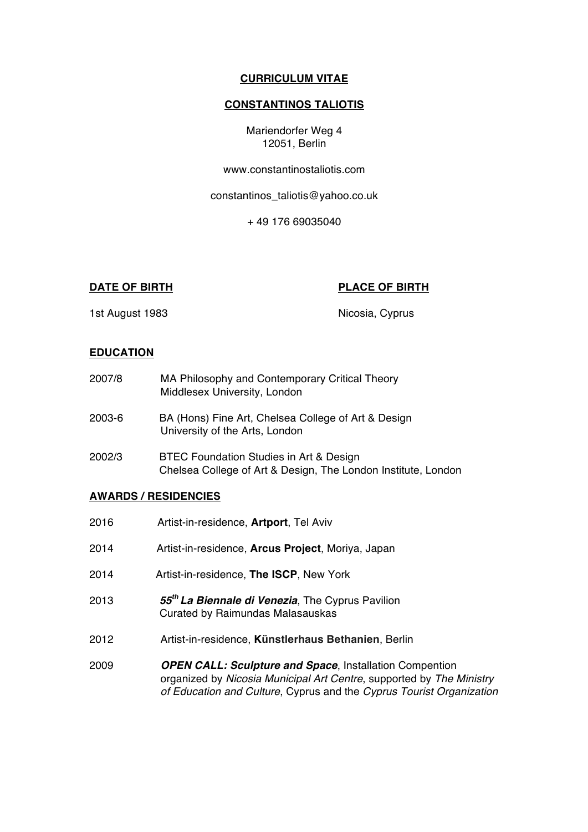## **CURRICULUM VITAE**

# **CONSTANTINOS TALIOTIS**

Mariendorfer Weg 4 12051, Berlin

www.constantinostaliotis.com

constantinos\_taliotis@yahoo.co.uk

+ 49 176 69035040

## **DATE OF BIRTH PLACE OF BIRTH**

1st August 1983 **Nicosia, Cyprus** 

## **EDUCATION**

| 2007/8 | MA Philosophy and Contemporary Critical Theory<br>Middlesex University, London                           |
|--------|----------------------------------------------------------------------------------------------------------|
| 2003-6 | BA (Hons) Fine Art, Chelsea College of Art & Design<br>University of the Arts, London                    |
| 2002/3 | BTEC Foundation Studies in Art & Design<br>Chelsea College of Art & Design, The London Institute, London |

### **AWARDS / RESIDENCIES**

| 2016 | Artist-in-residence, <b>Artport</b> , Tel Aviv                                                                                                                                                                 |
|------|----------------------------------------------------------------------------------------------------------------------------------------------------------------------------------------------------------------|
| 2014 | Artist-in-residence, Arcus Project, Moriya, Japan                                                                                                                                                              |
| 2014 | Artist-in-residence, The ISCP, New York                                                                                                                                                                        |
| 2013 | 55 <sup>th</sup> La Biennale di Venezia, The Cyprus Pavilion<br>Curated by Raimundas Malasauskas                                                                                                               |
| 2012 | Artist-in-residence, Künstlerhaus Bethanien, Berlin                                                                                                                                                            |
| 2009 | <b>OPEN CALL: Sculpture and Space, Installation Compention</b><br>organized by Nicosia Municipal Art Centre, supported by The Ministry<br>of Education and Culture, Cyprus and the Cyprus Tourist Organization |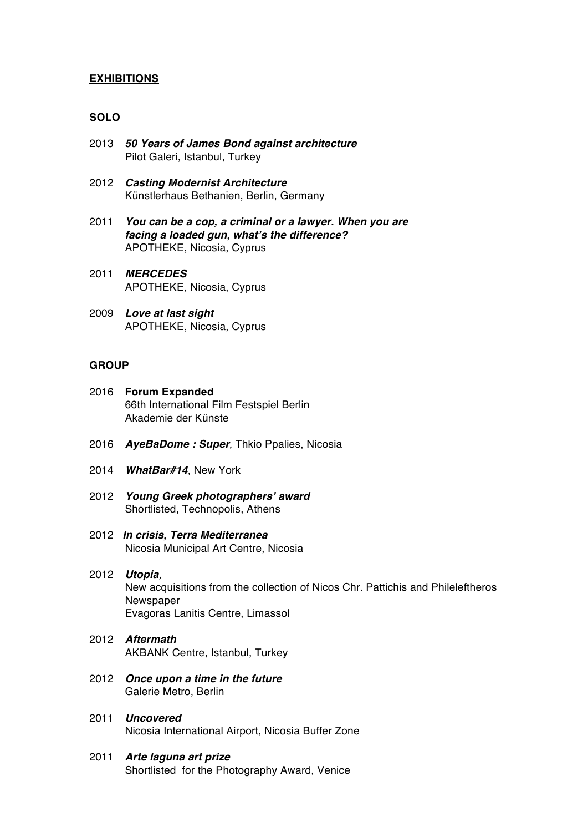## **EXHIBITIONS**

## **SOLO**

- 2013 *50 Years of James Bond against architecture* Pilot Galeri, Istanbul, Turkey
- 2012 *Casting Modernist Architecture* Künstlerhaus Bethanien, Berlin, Germany
- 2011 *You can be a cop, a criminal or a lawyer. When you are facing a loaded gun, what's the difference?* APOTHEKE, Nicosia, Cyprus
- 2011 *MERCEDES* APOTHEKE, Nicosia, Cyprus
- 2009 *Love at last sight* APOTHEKE, Nicosia, Cyprus

#### **GROUP**

- 2016 **Forum Expanded** 66th International Film Festspiel Berlin Akademie der Künste
- 2016 *AyeBaDome : Super,* Thkio Ppalies, Nicosia
- 2014 *WhatBar#14*, New York
- 2012 *Young Greek photographers' award* Shortlisted, Technopolis, Athens
- 2012 *In crisis, Terra Mediterranea* Nicosia Municipal Art Centre, Nicosia
- 2012 *Utopia,* New acquisitions from the collection of Nicos Chr. Pattichis and Phileleftheros **Newspaper** Evagoras Lanitis Centre, Limassol
- 2012 *Aftermath* AKBANK Centre, Istanbul, Turkey
- 2012 *Once upon a time in the future* Galerie Metro, Berlin
- 2011 *Uncovered* Nicosia International Airport, Nicosia Buffer Zone
- 2011 *Arte laguna art prize* Shortlisted for the Photography Award, Venice